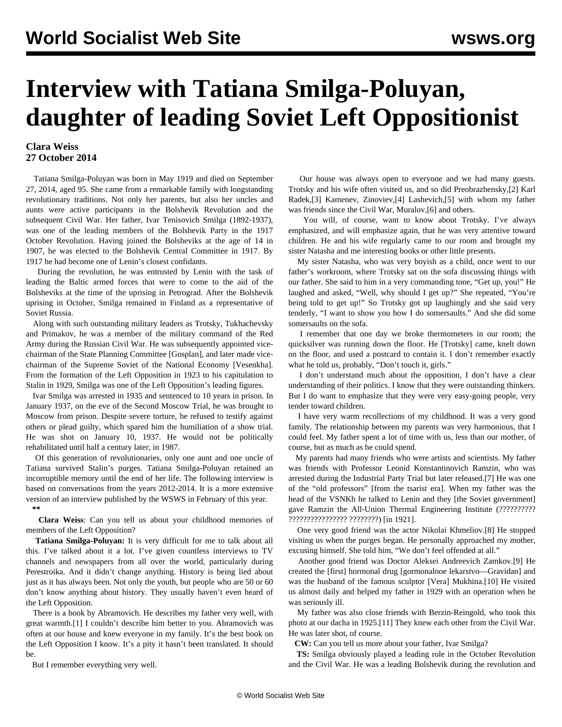## **Interview with Tatiana Smilga-Poluyan, daughter of leading Soviet Left Oppositionist**

## **Clara Weiss 27 October 2014**

 Tatiana Smilga-Poluyan was born in May 1919 and died on September 27, 2014, aged 95. She came from a remarkable family with longstanding revolutionary traditions. Not only her parents, but also her uncles and aunts were active participants in the Bolshevik Revolution and the subsequent Civil War. Her father, Ivar Tenisovich Smilga (1892-1937), was one of the leading members of the Bolshevik Party in the 1917 October Revolution. Having joined the Bolsheviks at the age of 14 in 1907, he was elected to the Bolshevik Central Committee in 1917. By 1917 he had become one of Lenin's closest confidants.

 During the revolution, he was entrusted by Lenin with the task of leading the Baltic armed forces that were to come to the aid of the Bolsheviks at the time of the uprising in Petrograd. After the Bolshevik uprising in October, Smilga remained in Finland as a representative of Soviet Russia.

 Along with such outstanding military leaders as Trotsky, Tukhachevsky and Primakov, he was a member of the military command of the Red Army during the Russian Civil War. He was subsequently appointed vicechairman of the State Planning Committee [Gosplan], and later made vicechairman of the Supreme Soviet of the National Economy [Vesenkha]. From the formation of the Left Opposition in 1923 to his capitulation to Stalin in 1929, Smilga was one of the Left Opposition's leading figures.

 Ivar Smilga was arrested in 1935 and sentenced to 10 years in prison. In January 1937, on the eve of the Second Moscow Trial, he was brought to Moscow from prison. Despite severe torture, he refused to testify against others or plead guilty, which spared him the humiliation of a show trial. He was shot on January 10, 1937. He would not be politically rehabilitated until half a century later, in 1987.

 Of this generation of revolutionaries, only one aunt and one uncle of Tatiana survived Stalin's purges. Tatiana Smilga-Poluyan retained an incorruptible memory until the end of her life. The following interview is based on conversations from the years 2012-2014. It is a more extensive version of an [interview](/en/articles/2014/02/25/smil-f25.html) published by the WSWS in February of this year. **\*\***

 **Clara Weiss**: Can you tell us about your childhood memories of members of the Left Opposition?

 **Tatiana Smilga-Poluyan:** It is very difficult for me to talk about all this. I've talked about it a lot. I've given countless interviews to TV channels and newspapers from all over the world, particularly during Perestroika. And it didn't change anything. History is being lied about just as it has always been. Not only the youth, but people who are 50 or 60 don't know anything about history. They usually haven't even heard of the Left Opposition.

 There is a book by Abramovich. He describes my father very well, with great warmth.[1] I couldn't describe him better to you. Abramovich was often at our house and knew everyone in my family. It's the best book on the Left Opposition I know. It's a pity it hasn't been translated. It should be.

But I remember everything very well.

 Our house was always open to everyone and we had many guests. Trotsky and his wife often visited us, and so did Preobrazhensky,[2] Karl Radek,[3] Kamenev, Zinoviev,[4] Lashevich,[5] with whom my father was friends since the Civil War, Muralov,[6] and others.

 You will, of course, want to know about Trotsky. I've always emphasized, and will emphasize again, that he was very attentive toward children. He and his wife regularly came to our room and brought my sister Natasha and me interesting books or other little presents.

 My sister Natasha, who was very boyish as a child, once went to our father's workroom, where Trotsky sat on the sofa discussing things with our father. She said to him in a very commanding tone, "Get up, you!" He laughed and asked, "Well, why should I get up?" She repeated, "You're being told to get up!" So Trotsky got up laughingly and she said very tenderly, "I want to show you how I do somersaults." And she did some somersaults on the sofa.

 I remember that one day we broke thermometers in our room; the quicksilver was running down the floor. He [Trotsky] came, knelt down on the floor, and used a postcard to contain it. I don't remember exactly what he told us, probably, "Don't touch it, girls."

 I don't understand much about the opposition, I don't have a clear understanding of their politics. I know that they were outstanding thinkers. But I do want to emphasize that they were very easy-going people, very tender toward children.

 I have very warm recollections of my childhood. It was a very good family. The relationship between my parents was very harmonious, that I could feel. My father spent a lot of time with us, less than our mother, of course, but as much as he could spend.

 My parents had many friends who were artists and scientists. My father was friends with Professor Leonid Konstantinovich Ramzin, who was arrested during the Industrial Party Trial but later released.[7] He was one of the "old professors" [from the tsarist era]. When my father was the head of the VSNKh he talked to Lenin and they [the Soviet government] gave Ramzin the All-Union Thermal Engineering Institute (??????????? ???????????????? ????????) [in 1921].

 One very good friend was the actor Nikolai Khmeliov.[8] He stopped visiting us when the purges began. He personally approached my mother, excusing himself. She told him, "We don't feel offended at all."

 Another good friend was Doctor Aleksei Andreevich Zamkov.[9] He created the [first] hormonal drug [gormonalnoe lekarstvo—Gravidan] and was the husband of the famous sculptor [Vera] Mukhina.[10] He visited us almost daily and helped my father in 1929 with an operation when he was seriously ill.

 My father was also close friends with Berzin-Reingold, who took this photo at our dacha in 1925.[11] They knew each other from the Civil War. He was later shot, of course.

**CW:** Can you tell us more about your father, Ivar Smilga?

 **TS:** Smilga obviously played a leading role in the October Revolution and the Civil War. He was a leading Bolshevik during the revolution and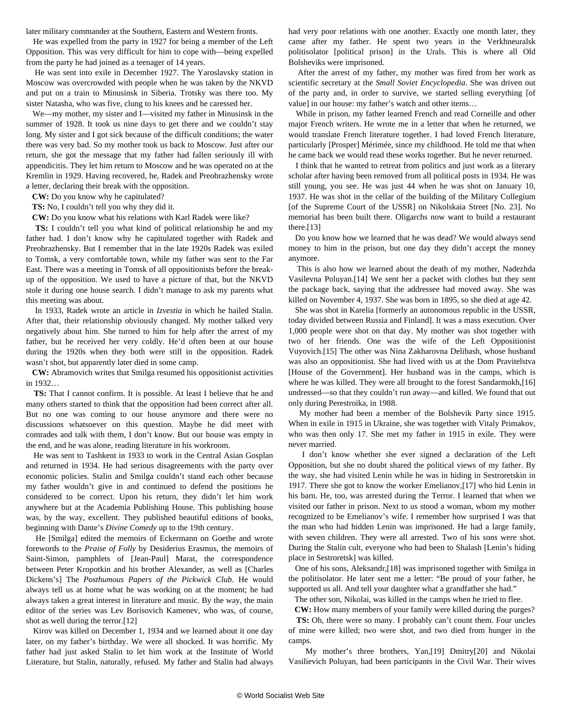later military commander at the Southern, Eastern and Western fronts.

 He was expelled from the party in 1927 for being a member of the Left Opposition. This was very difficult for him to cope with—being expelled from the party he had joined as a teenager of 14 years.

 He was sent into exile in December 1927. The Yaroslavsky station in Moscow was overcrowded with people when he was taken by the NKVD and put on a train to Minusinsk in Siberia. Trotsky was there too. My sister Natasha, who was five, clung to his knees and he caressed her.

 We—my mother, my sister and I—visited my father in Minusinsk in the summer of 1928. It took us nine days to get there and we couldn't stay long. My sister and I got sick because of the difficult conditions; the water there was very bad. So my mother took us back to Moscow. Just after our return, she got the message that my father had fallen seriously ill with appendicitis. They let him return to Moscow and he was operated on at the Kremlin in 1929. Having recovered, he, Radek and Preobrazhensky wrote a letter, declaring their break with the opposition.

**CW:** Do you know why he capitulated?

**TS:** No, I couldn't tell you why they did it.

**CW:** Do you know what his relations with Karl Radek were like?

 **TS:** I couldn't tell you what kind of political relationship he and my father had. I don't know why he capitulated together with Radek and Preobrazhensky. But I remember that in the late 1920s Radek was exiled to Tomsk, a very comfortable town, while my father was sent to the Far East. There was a meeting in Tomsk of all oppositionists before the breakup of the opposition. We used to have a picture of that, but the NKVD stole it during one house search. I didn't manage to ask my parents what this meeting was about.

 In 1933, Radek wrote an article in *Izvestia* in which he hailed Stalin. After that, their relationship obviously changed. My mother talked very negatively about him. She turned to him for help after the arrest of my father, but he received her very coldly. He'd often been at our house during the 1920s when they both were still in the opposition. Radek wasn't shot, but apparently later died in some camp.

 **CW:** Abramovich writes that Smilga resumed his oppositionist activities in 1932…

 **TS:** That I cannot confirm. It is possible. At least I believe that he and many others started to think that the opposition had been correct after all. But no one was coming to our house anymore and there were no discussions whatsoever on this question. Maybe he did meet with comrades and talk with them, I don't know. But our house was empty in the end, and he was alone, reading literature in his workroom.

 He was sent to Tashkent in 1933 to work in the Central Asian Gosplan and returned in 1934. He had serious disagreements with the party over economic policies. Stalin and Smilga couldn't stand each other because my father wouldn't give in and continued to defend the positions he considered to be correct. Upon his return, they didn't let him work anywhere but at the Academia Publishing House. This publishing house was, by the way, excellent. They published beautiful editions of books, beginning with Dante's *Divine Comedy* up to the 19th century.

 He [Smilga] edited the memoirs of Eckermann on Goethe and wrote forewords to the *Praise of Folly* by Desiderius Erasmus, the memoirs of Saint-Simon, pamphlets of [Jean-Paul] Marat, the correspondence between Peter Kropotkin and his brother Alexander, as well as [Charles Dickens's] The *Posthumous Papers of the Pickwick Club*. He would always tell us at home what he was working on at the moment; he had always taken a great interest in literature and music. By the way, the main editor of the series was Lev Borisovich Kamenev, who was, of course, shot as well during the terror.[12]

 Kirov was killed on December 1, 1934 and we learned about it one day later, on my father's birthday. We were all shocked. It was horrific. My father had just asked Stalin to let him work at the Institute of World Literature, but Stalin, naturally, refused. My father and Stalin had always

had very poor relations with one another. Exactly one month later, they came after my father. He spent two years in the Verkhneuralsk politisolator [political prison] in the Urals. This is where all Old Bolsheviks were imprisoned.

 After the arrest of my father, my mother was fired from her work as scientific secretary at the *Small Soviet Encyclopedia*. She was driven out of the party and, in order to survive, we started selling everything [of value] in our house: my father's watch and other items…

 While in prison, my father learned French and read Corneille and other major French writers. He wrote me in a letter that when he returned, we would translate French literature together. I had loved French literature, particularly [Prosper] Mérimée, since my childhood. He told me that when he came back we would read these works together. But he never returned.

 I think that he wanted to retreat from politics and just work as a literary scholar after having been removed from all political posts in 1934. He was still young, you see. He was just 44 when he was shot on January 10, 1937. He was shot in the cellar of the building of the Military Collegium [of the Supreme Court of the USSR] on Nikolskaia Street [No. 23]. No memorial has been built there. Oligarchs now want to build a restaurant there.[13]

 Do you know how we learned that he was dead? We would always send money to him in the prison, but one day they didn't accept the money anymore.

 This is also how we learned about the death of my mother, Nadezhda Vasilevna Poluyan.[14] We sent her a packet with clothes but they sent the package back, saying that the addressee had moved away. She was killed on November 4, 1937. She was born in 1895, so she died at age 42.

 She was shot in Karelia [formerly an autonomous republic in the USSR, today divided between Russia and Finland]. It was a mass execution. Over 1,000 people were shot on that day. My mother was shot together with two of her friends. One was the wife of the Left Oppositionist Vuyovich.[15] The other was Nina Zakharovna Delibash, whose husband was also an oppositionist. She had lived with us at the Dom Pravitelstva [House of the Government]. Her husband was in the camps, which is where he was killed. They were all brought to the forest Sandarmokh,[16] undressed—so that they couldn't run away—and killed. We found that out only during Perestroika, in 1988.

 My mother had been a member of the Bolshevik Party since 1915. When in exile in 1915 in Ukraine, she was together with Vitaly Primakov, who was then only 17. She met my father in 1915 in exile. They were never married.

 I don't know whether she ever signed a declaration of the Left Opposition, but she no doubt shared the political views of my father. By the way, she had visited Lenin while he was in hiding in Sestroretskin in 1917. There she got to know the worker Emelianov,[17] who hid Lenin in his barn. He, too, was arrested during the Terror. I learned that when we visited our father in prison. Next to us stood a woman, whom my mother recognized to be Emelianov's wife. I remember how surprised I was that the man who had hidden Lenin was imprisoned. He had a large family, with seven children. They were all arrested. Two of his sons were shot. During the Stalin cult, everyone who had been to Shalash [Lenin's hiding place in Sestroretsk] was killed.

 One of his sons, Aleksandr,[18] was imprisoned together with Smilga in the politisolator. He later sent me a letter: "Be proud of your father, he supported us all. And tell your daughter what a grandfather she had."

The other son, Nikolai, was killed in the camps when he tried to flee.

**CW:** How many members of your family were killed during the purges?

 **TS:** Oh, there were so many. I probably can't count them. Four uncles of mine were killed; two were shot, and two died from hunger in the camps.

 My mother's three brothers, Yan,[19] Dmitry[20] and Nikolai Vasilievich Poluyan, had been participants in the Civil War. Their wives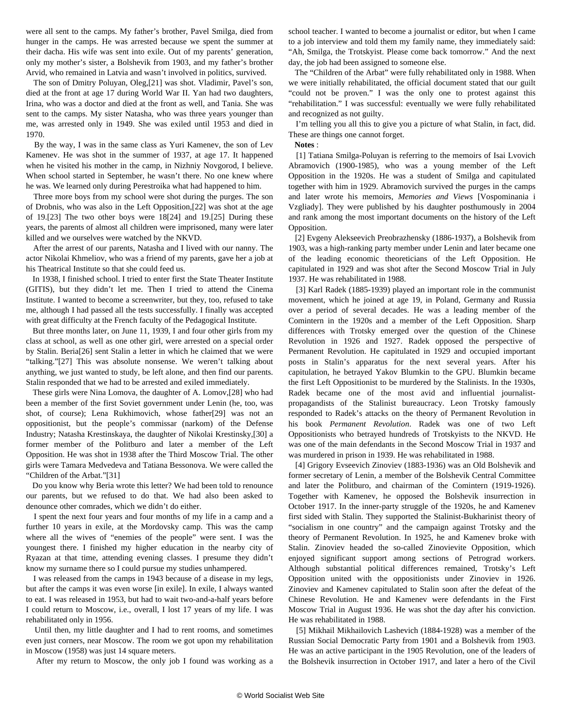were all sent to the camps. My father's brother, Pavel Smilga, died from hunger in the camps. He was arrested because we spent the summer at their dacha. His wife was sent into exile. Out of my parents' generation, only my mother's sister, a Bolshevik from 1903, and my father's brother Arvid, who remained in Latvia and wasn't involved in politics, survived.

 The son of Dmitry Poluyan, Oleg,[21] was shot. Vladimir, Pavel's son, died at the front at age 17 during World War II. Yan had two daughters, Irina, who was a doctor and died at the front as well, and Tania. She was sent to the camps. My sister Natasha, who was three years younger than me, was arrested only in 1949. She was exiled until 1953 and died in 1970.

 By the way, I was in the same class as Yuri Kamenev, the son of Lev Kamenev. He was shot in the summer of 1937, at age 17. It happened when he visited his mother in the camp, in Nizhniy Novgorod, I believe. When school started in September, he wasn't there. No one knew where he was. We learned only during Perestroika what had happened to him.

 Three more boys from my school were shot during the purges. The son of Drobnis, who was also in the Left Opposition,[22] was shot at the age of 19.[23] The two other boys were 18[24] and 19.[25] During these years, the parents of almost all children were imprisoned, many were later killed and we ourselves were watched by the NKVD.

 After the arrest of our parents, Natasha and I lived with our nanny. The actor Nikolai Khmeliov, who was a friend of my parents, gave her a job at his Theatrical Institute so that she could feed us.

 In 1938, I finished school. I tried to enter first the State Theater Institute (GITIS), but they didn't let me. Then I tried to attend the Cinema Institute. I wanted to become a screenwriter, but they, too, refused to take me, although I had passed all the tests successfully. I finally was accepted with great difficulty at the French faculty of the Pedagogical Institute.

 But three months later, on June 11, 1939, I and four other girls from my class at school, as well as one other girl, were arrested on a special order by Stalin. Beria[26] sent Stalin a letter in which he claimed that we were "talking."[27] This was absolute nonsense. We weren't talking about anything, we just wanted to study, be left alone, and then find our parents. Stalin responded that we had to be arrested and exiled immediately.

 These girls were Nina Lomova, the daughter of A. Lomov,[28] who had been a member of the first Soviet government under Lenin (he, too, was shot, of course); Lena Rukhimovich, whose father[29] was not an oppositionist, but the people's commissar (narkom) of the Defense Industry; Natasha Krestinskaya, the daughter of Nikolai Krestinsky,[30] a former member of the Politburo and later a member of the Left Opposition. He was shot in 1938 after the Third Moscow Trial. The other girls were Tamara Medvedeva and Tatiana Bessonova. We were called the "Children of the Arbat."[31]

 Do you know why Beria wrote this letter? We had been told to renounce our parents, but we refused to do that. We had also been asked to denounce other comrades, which we didn't do either.

 I spent the next four years and four months of my life in a camp and a further 10 years in exile, at the Mordovsky camp. This was the camp where all the wives of "enemies of the people" were sent. I was the youngest there. I finished my higher education in the nearby city of Ryazan at that time, attending evening classes. I presume they didn't know my surname there so I could pursue my studies unhampered.

 I was released from the camps in 1943 because of a disease in my legs, but after the camps it was even worse [in exile]. In exile, I always wanted to eat. I was released in 1953, but had to wait two-and-a-half years before I could return to Moscow, i.e., overall, I lost 17 years of my life. I was rehabilitated only in 1956.

 Until then, my little daughter and I had to rent rooms, and sometimes even just corners, near Moscow. The room we got upon my rehabilitation in Moscow (1958) was just 14 square meters.

After my return to Moscow, the only job I found was working as a

school teacher. I wanted to become a journalist or editor, but when I came to a job interview and told them my family name, they immediately said: "Ah, Smilga, the Trotskyist. Please come back tomorrow." And the next day, the job had been assigned to someone else.

 The "Children of the Arbat" were fully rehabilitated only in 1988. When we were initially rehabilitated, the official document stated that our guilt "could not be proven." I was the only one to protest against this "rehabilitation." I was successful: eventually we were fully rehabilitated and recognized as not guilty.

 I'm telling you all this to give you a picture of what Stalin, in fact, did. These are things one cannot forget.

**Notes** :

 [1] Tatiana Smilga-Poluyan is referring to the memoirs of Isai Lvovich Abramovich (1900-1985), who was a young member of the Left Opposition in the 1920s. He was a student of Smilga and capitulated together with him in 1929. Abramovich survived the purges in the camps and later wrote his memoirs, *Memories and Views* [Vospominania i Vzgliady]. They were published by his daughter posthumously in 2004 and rank among the most important documents on the history of the Left Opposition.

 [2] Evgeny Alekseevich Preobrazhensky (1886-1937), a Bolshevik from 1903, was a high-ranking party member under Lenin and later became one of the leading economic theoreticians of the Left Opposition. He capitulated in 1929 and was shot after the Second Moscow Trial in July 1937. He was rehabilitated in 1988.

 [3] Karl Radek (1885-1939) played an important role in the communist movement, which he joined at age 19, in Poland, Germany and Russia over a period of several decades. He was a leading member of the Comintern in the 1920s and a member of the Left Opposition. Sharp differences with Trotsky emerged over the question of the Chinese Revolution in 1926 and 1927. Radek opposed the perspective of Permanent Revolution. He capitulated in 1929 and occupied important posts in Stalin's apparatus for the next several years. After his capitulation, he betrayed Yakov Blumkin to the GPU. Blumkin became the first Left Oppositionist to be murdered by the Stalinists. In the 1930s, Radek became one of the most avid and influential journalistpropagandists of the Stalinist bureaucracy. Leon Trotsky famously responded to Radek's attacks on the theory of Permanent Revolution in his book *Permanent Revolution*. Radek was one of two Left Oppositionists who betrayed hundreds of Trotskyists to the NKVD. He was one of the main defendants in the Second Moscow Trial in 1937 and was murdered in prison in 1939. He was rehabilitated in 1988.

 [4] Grigory Evseevich Zinoviev (1883-1936) was an Old Bolshevik and former secretary of Lenin, a member of the Bolshevik Central Committee and later the Politburo, and chairman of the Comintern (1919-1926). Together with Kamenev, he opposed the Bolshevik insurrection in October 1917. In the inner-party struggle of the 1920s, he and Kamenev first sided with Stalin. They supported the Stalinist-Bukharinist theory of "socialism in one country" and the campaign against Trotsky and the theory of Permanent Revolution. In 1925, he and Kamenev broke with Stalin. Zinoviev headed the so-called Zinovievite Opposition, which enjoyed significant support among sections of Petrograd workers. Although substantial political differences remained, Trotsky's Left Opposition united with the oppositionists under Zinoviev in 1926. Zinoviev and Kamenev capitulated to Stalin soon after the defeat of the Chinese Revolution. He and Kamenev were defendants in the First Moscow Trial in August 1936. He was shot the day after his conviction. He was rehabilitated in 1988.

 [5] Mikhail Mikhailovich Lashevich (1884-1928) was a member of the Russian Social Democratic Party from 1901 and a Bolshevik from 1903. He was an active participant in the 1905 Revolution, one of the leaders of the Bolshevik insurrection in October 1917, and later a hero of the Civil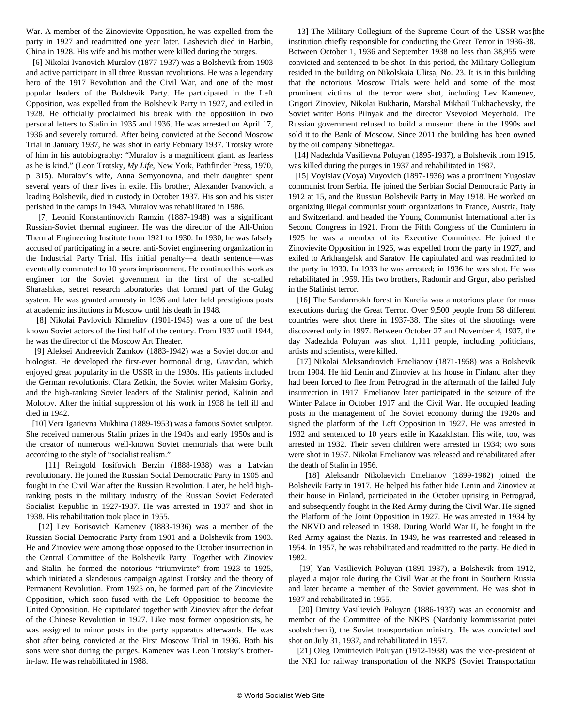War. A member of the Zinovievite Opposition, he was expelled from the party in 1927 and readmitted one year later. Lashevich died in Harbin, China in 1928. His wife and his mother were killed during the purges.

 [6] Nikolai Ivanovich Muralov (1877-1937) was a Bolshevik from 1903 and active participant in all three Russian revolutions. He was a legendary hero of the 1917 Revolution and the Civil War, and one of the most popular leaders of the Bolshevik Party. He participated in the Left Opposition, was expelled from the Bolshevik Party in 1927, and exiled in 1928. He officially proclaimed his break with the opposition in two personal letters to Stalin in 1935 and 1936. He was arrested on April 17, 1936 and severely tortured. After being convicted at the Second Moscow Trial in January 1937, he was shot in early February 1937. Trotsky wrote of him in his autobiography: "Muralov is a magnificent giant, as fearless as he is kind." (Leon Trotsky, *My Life*, New York, Pathfinder Press, 1970, p. 315). Muralov's wife, Anna Semyonovna, and their daughter spent several years of their lives in exile. His brother, Alexander Ivanovich, a leading Bolshevik, died in custody in October 1937. His son and his sister perished in the camps in 1943. Muralov was rehabilitated in 1986.

 [7] Leonid Konstantinovich Ramzin (1887-1948) was a significant Russian-Soviet thermal engineer. He was the director of the All-Union Thermal Engineering Institute from 1921 to 1930. In 1930, he was falsely accused of participating in a secret anti-Soviet engineering organization in the Industrial Party Trial. His initial penalty—a death sentence—was eventually commuted to 10 years imprisonment. He continued his work as engineer for the Soviet government in the first of the so-called Sharashkas, secret research laboratories that formed part of the Gulag system. He was granted amnesty in 1936 and later held prestigious posts at academic institutions in Moscow until his death in 1948.

 [8] Nikolai Pavlovich Khmeliov (1901-1945) was a one of the best known Soviet actors of the first half of the century. From 1937 until 1944, he was the director of the Moscow Art Theater.

 [9] Aleksei Andreevich Zamkov (1883-1942) was a Soviet doctor and biologist. He developed the first-ever hormonal drug, Gravidan, which enjoyed great popularity in the USSR in the 1930s. His patients included the German revolutionist Clara Zetkin, the Soviet writer Maksim Gorky, and the high-ranking Soviet leaders of the Stalinist period, Kalinin and Molotov. After the initial suppression of his work in 1938 he fell ill and died in 1942.

 [10] Vera Igatievna Mukhina (1889-1953) was a famous Soviet sculptor. She received numerous Stalin prizes in the 1940s and early 1950s and is the creator of numerous well-known Soviet memorials that were built according to the style of "socialist realism."

 [11] Reingold Iosifovich Berzin (1888-1938) was a Latvian revolutionary. He joined the Russian Social Democratic Party in 1905 and fought in the Civil War after the Russian Revolution. Later, he held highranking posts in the military industry of the Russian Soviet Federated Socialist Republic in 1927-1937. He was arrested in 1937 and shot in 1938. His rehabilitation took place in 1955.

[12] Lev Borisovich Kamenev (1883-1936) was a member of the Russian Social Democratic Party from 1901 and a Bolshevik from 1903. He and Zinoviev were among those opposed to the October insurrection in the Central Committee of the Bolshevik Party. Together with Zinoviev and Stalin, he formed the notorious "triumvirate" from 1923 to 1925, which initiated a slanderous campaign against Trotsky and the theory of Permanent Revolution. From 1925 on, he formed part of the Zinovievite Opposition, which soon fused with the Left Opposition to become the United Opposition. He capitulated together with Zinoviev after the defeat of the Chinese Revolution in 1927. Like most former oppositionists, he was assigned to minor posts in the party apparatus afterwards. He was shot after being convicted at the First Moscow Trial in 1936. Both his sons were shot during the purges. Kamenev was Leon Trotsky's brotherin-law. He was rehabilitated in 1988.

 [ 13] The Military Collegium of the Supreme Court of the USSR was the institution chiefly responsible for conducting the Great Terror in 1936-38. Between October 1, 1936 and September 1938 no less than 38,955 were convicted and sentenced to be shot. In this period, the Military Collegium resided in the building on Nikolskaia Ulitsa, No. 23. It is in this building that the notorious Moscow Trials were held and some of the most prominent victims of the terror were shot, including Lev Kamenev, Grigori Zinoviev, Nikolai Bukharin, Marshal Mikhail Tukhachevsky, the Soviet writer Boris Pilnyak and the director Vsevolod Meyerhold. The Russian government refused to build a museum there in the 1990s and sold it to the Bank of Moscow. Since 2011 the building has been owned by the oil company Sibneftegaz.

 [14] Nadezhda Vasilievna Poluyan (1895-1937), a Bolshevik from 1915, was killed during the purges in 1937 and rehabilitated in 1987.

 [15] Voyislav (Voya) Vuyovich (1897-1936) was a prominent Yugoslav communist from Serbia. He joined the Serbian Social Democratic Party in 1912 at 15, and the Russian Bolshevik Party in May 1918. He worked on organizing illegal communist youth organizations in France, Austria, Italy and Switzerland, and headed the Young Communist International after its Second Congress in 1921. From the Fifth Congress of the Comintern in 1925 he was a member of its Executive Committee. He joined the Zinovievite Opposition in 1926, was expelled from the party in 1927, and exiled to Arkhangelsk and Saratov. He capitulated and was readmitted to the party in 1930. In 1933 he was arrested; in 1936 he was shot. He was rehabilitated in 1959. His two brothers, Radomir and Grgur, also perished in the Stalinist terror.

[16] The Sandarmokh forest in Karelia was a notorious place for mass executions during the Great Terror. Over 9,500 people from 58 different countries were shot there in 1937-38. The sites of the shootings were discovered only in 1997. Between October 27 and November 4, 1937, the day Nadezhda Poluyan was shot, 1,111 people, including politicians, artists and scientists, were killed.

 [17] Nikolai Aleksandrovich Emelianov (1871-1958) was a Bolshevik from 1904. He hid Lenin and Zinoviev at his house in Finland after they had been forced to flee from Petrograd in the aftermath of the failed July insurrection in 1917. Emelianov later participated in the seizure of the Winter Palace in October 1917 and the Civil War. He occupied leading posts in the management of the Soviet economy during the 1920s and signed the platform of the Left Opposition in 1927. He was arrested in 1932 and sentenced to 10 years exile in Kazakhstan. His wife, too, was arrested in 1932. Their seven children were arrested in 1934; two sons were shot in 1937. Nikolai Emelianov was released and rehabilitated after the death of Stalin in 1956.

[18] Aleksandr Nikolaevich Emelianov (1899-1982) joined the Bolshevik Party in 1917. He helped his father hide Lenin and Zinoviev at their house in Finland, participated in the October uprising in Petrograd, and subsequently fought in the Red Army during the Civil War. He signed the Platform of the Joint Opposition in 1927. He was arrested in 1934 by the NKVD and released in 1938. During World War II, he fought in the Red Army against the Nazis. In 1949, he was rearrested and released in 1954. In 1957, he was rehabilitated and readmitted to the party. He died in 1982.

 [19] Yan Vasilievich Poluyan (1891-1937), a Bolshevik from 1912, played a major role during the Civil War at the front in Southern Russia and later became a member of the Soviet government. He was shot in 1937 and rehabilitated in 1955.

 [20] Dmitry Vasilievich Poluyan (1886-1937) was an economist and member of the Committee of the NKPS (Nardoniy kommissariat putei soobshchenii), the Soviet transportation ministry. He was convicted and shot on July 31, 1937, and rehabilitated in 1957.

 [21] Oleg Dmitrievich Poluyan (1912-1938) was the vice-president of the NKI for railway transportation of the NKPS (Soviet Transportation